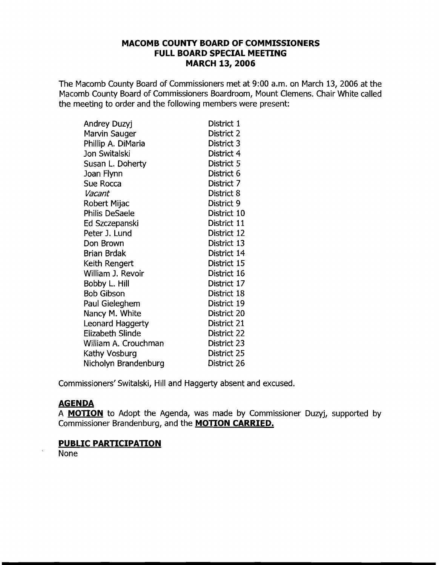## **MACOMB COUNTY BOARD OF COMMISSIONERS FULL BOARD SPECIAL MEETING MARCH 13, 2006**

The Macomb County Board of Commissioners met at 9:00 a.m. on March 13, 2006 at the Macomb County Board of Commissioners Boardroom, Mount Clemens. Chair White called the meeting to order and the following members were present:

| Andrey Duzyj            | District 1  |
|-------------------------|-------------|
| Marvin Sauger           | District 2  |
| Phillip A. DiMaria      | District 3  |
| Jon Switalski           | District 4  |
| Susan L. Doherty        | District 5  |
| Joan Flynn              | District 6  |
| Sue Rocca               | District 7  |
| Vacant                  | District 8  |
| Robert Mijac            | District 9  |
| Philis DeSaele          | District 10 |
| Ed Szczepanski          | District 11 |
| Peter J. Lund           | District 12 |
| Don Brown               | District 13 |
| Brian Brdak             | District 14 |
| Keith Rengert           | District 15 |
| William J. Revoir       | District 16 |
| Bobby L. Hill           | District 17 |
| <b>Bob Gibson</b>       | District 18 |
| Paul Gieleghem          | District 19 |
| Nancy M. White          | District 20 |
| Leonard Haggerty        | District 21 |
| <b>Elizabeth Slinde</b> | District 22 |
| William A. Crouchman    | District 23 |
| Kathy Vosburg           | District 25 |
| Nicholyn Brandenburg    | District 26 |

Commissioners'Switalski, Hill and Haggerty absent and excused.

# **AGENDA**

A **MOTION** to Adopt the Agenda, was made by Commissioner Duzyj, supported by Commissioner Brandenburg, and the **MOTION CARRIED.** 

# **PUBLIC PARTICIPATION**

None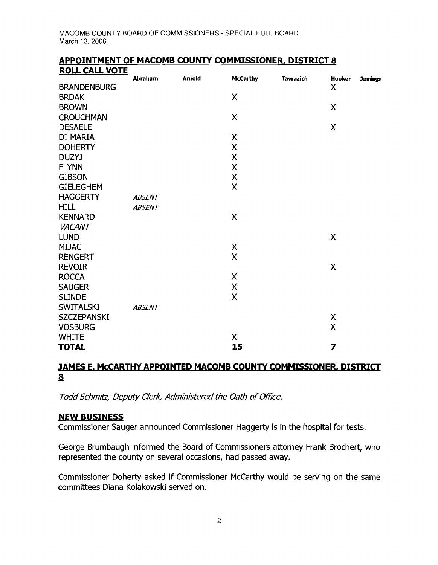| <b>ROLL CALL VOTE</b> |               |               |                           |                  |                    |                 |
|-----------------------|---------------|---------------|---------------------------|------------------|--------------------|-----------------|
|                       | Abraham       | <b>Arnold</b> | <b>McCarthy</b>           | <b>Tavrazich</b> | <b>Hooker</b>      | <b>Jennings</b> |
| <b>BRANDENBURG</b>    |               |               |                           |                  | X                  |                 |
| <b>BRDAK</b>          |               |               | X                         |                  |                    |                 |
| <b>BROWN</b>          |               |               |                           |                  | X                  |                 |
| <b>CROUCHMAN</b>      |               |               | $\boldsymbol{\mathsf{X}}$ |                  |                    |                 |
| <b>DESAELE</b>        |               |               |                           |                  | X                  |                 |
| DI MARIA              |               |               | X                         |                  |                    |                 |
| <b>DOHERTY</b>        |               |               | $\pmb{\mathsf{X}}$        |                  |                    |                 |
| DUZYJ                 |               |               | X                         |                  |                    |                 |
| <b>FLYNN</b>          |               |               | X                         |                  |                    |                 |
| <b>GIBSON</b>         |               |               | $\pmb{\mathsf{X}}$        |                  |                    |                 |
| <b>GIELEGHEM</b>      |               |               | $\sf X$                   |                  |                    |                 |
| <b>HAGGERTY</b>       | <b>ABSENT</b> |               |                           |                  |                    |                 |
| <b>HILL</b>           | <b>ABSENT</b> |               |                           |                  |                    |                 |
| <b>KENNARD</b>        |               |               | X                         |                  |                    |                 |
| <b>VACANT</b>         |               |               |                           |                  |                    |                 |
| <b>LUND</b>           |               |               |                           |                  | $\sf X$            |                 |
| <b>MIJAC</b>          |               |               | $\pmb{\mathsf{X}}$        |                  |                    |                 |
| <b>RENGERT</b>        |               |               | X                         |                  |                    |                 |
| <b>REVOIR</b>         |               |               |                           |                  | $\pmb{\mathsf{X}}$ |                 |
| <b>ROCCA</b>          |               |               | X                         |                  |                    |                 |
| <b>SAUGER</b>         |               |               | $\pmb{\mathsf{X}}$        |                  |                    |                 |
| <b>SLINDE</b>         |               |               | $\overline{\mathsf{X}}$   |                  |                    |                 |
| <b>SWITALSKI</b>      | <b>ABSENT</b> |               |                           |                  |                    |                 |
| <b>SZCZEPANSKI</b>    |               |               |                           |                  | X                  |                 |
| <b>VOSBURG</b>        |               |               |                           |                  | X                  |                 |
| <b>WHITE</b>          |               |               | X                         |                  |                    |                 |
| <b>TOTAL</b>          |               |               | 15                        |                  | $\overline{z}$     |                 |

# **APPOINTMENT OF MACOMB COUNTY COMMISSIONER, DISTRICT 8**

# **JAMES E. McCARTHY APPOINTED MACOMB COUNTY COMMISSIONER, DISTRICT**   $\overline{\mathbf{8}}$

Todd Schmitz, Deputy Clerk, Administered the Oath of Office.

#### **NEW BUSINESS**

Commissioner Sauger announced Commissioner Haggerty is in the hospital for tests.

George Brumbaugh informed the Board of Commissioners attorney Frank Brochert, who represented the county on several occasions, had passed away.

Commissioner Doherty asked if Commissioner McCarthy would be serving on the same committees Diana Kolakowski served on.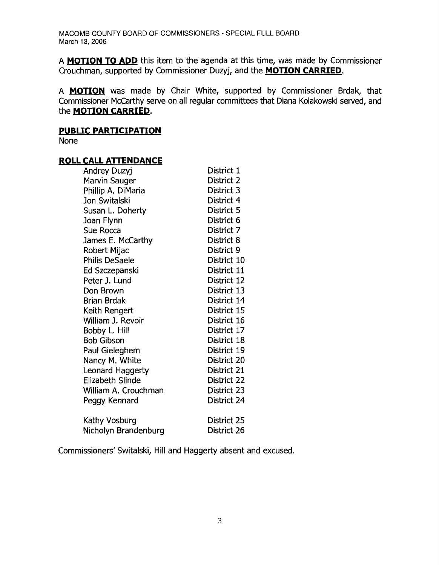MACOMB COUNTY BOARD OF COMMISSIONERS - SPECIAL FULL BOARD March 13, 2006

A **MOTION TO ADD** this item to the agenda at this time, was made by Commissioner Crouchman, supported by Commissioner Duzyj, and the **MOTION CARRIED.** 

A **MOTION** was made by Chair White, supported by Commissioner Brdak, that Commissioner McCarthy serve on all regular committees that Diana Kolakowski served, and the **MOTION CARRIED.** 

### **PUBLIC PARTICIPATION**

None

## **ROLL CALL ATTENDANCE**

| Andrey Duzyj          | District 1  |
|-----------------------|-------------|
| Marvin Sauger         | District 2  |
| Phillip A. DiMaria    | District 3  |
| Jon Switalski         | District 4  |
| Susan L. Doherty      | District 5  |
| Joan Flynn            | District 6  |
| Sue Rocca             | District 7  |
| James E. McCarthy     | District 8  |
| Robert Mijac          | District 9  |
| <b>Philis DeSaele</b> | District 10 |
| Ed Szczepanski        | District 11 |
| Peter J. Lund         | District 12 |
| Don Brown             | District 13 |
| <b>Brian Brdak</b>    | District 14 |
| Keith Rengert         | District 15 |
| William J. Revoir     | District 16 |
| Bobby L. Hill         | District 17 |
| <b>Bob Gibson</b>     | District 18 |
| Paul Gieleghem        | District 19 |
| Nancy M. White        | District 20 |
| Leonard Haggerty      | District 21 |
| Elizabeth Slinde      | District 22 |
| William A. Crouchman  | District 23 |
| Peggy Kennard         | District 24 |
| Kathy Vosburg         | District 25 |
| Nicholyn Brandenburg  | District 26 |
|                       |             |

Commissioners' Switalski, Hill and Haggerty absent and excused.